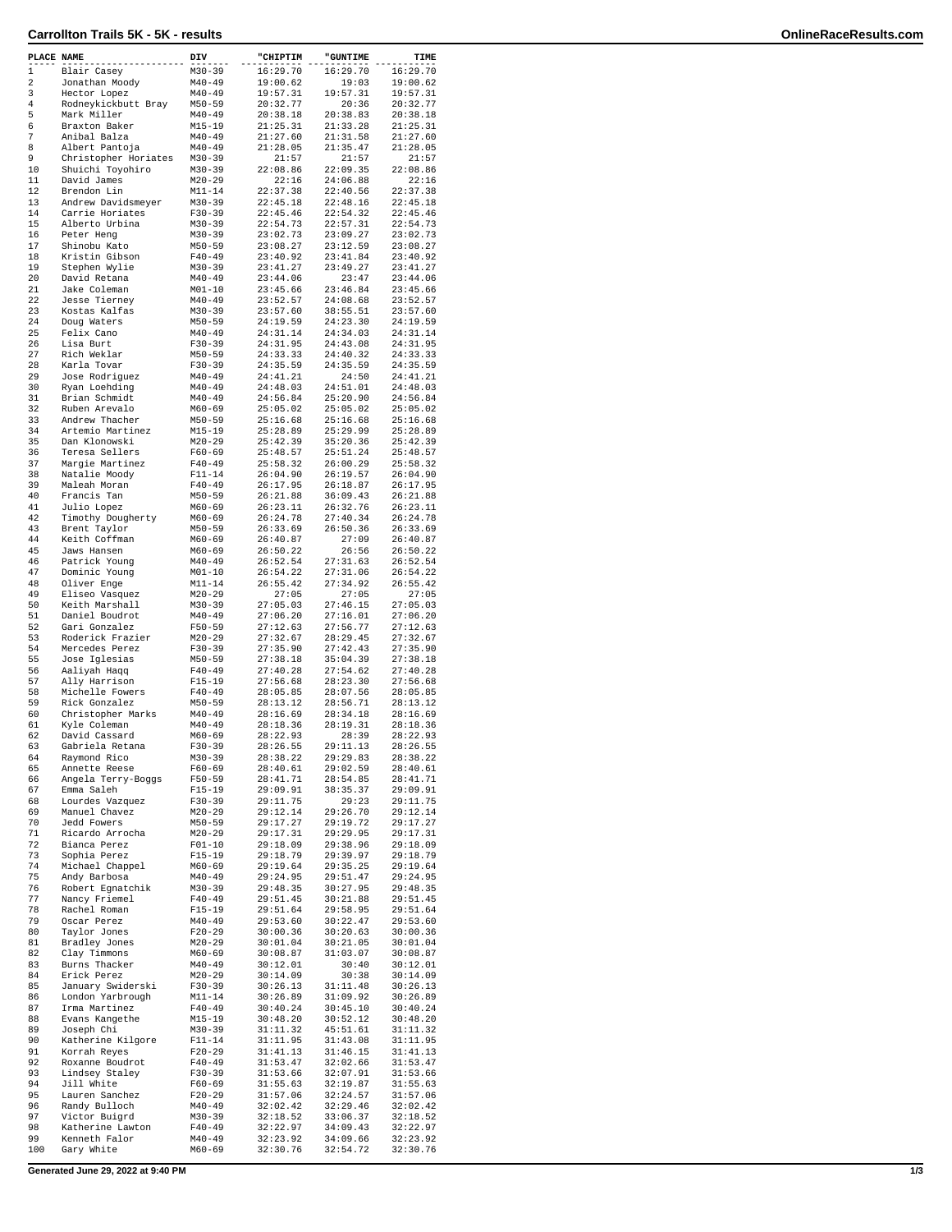## **Carrollton Trails 5K - 5K - results OnlineRaceResults.com**

| PLACE NAME |                                        | DIV                      | "CHIPTIM             | <b>"GUNTIME</b>      | TIME                 |
|------------|----------------------------------------|--------------------------|----------------------|----------------------|----------------------|
| 1          | Blair Casey                            | M30-39                   | 16:29.70             | 16:29.70             | 16:29.70             |
| 2          | Jonathan Moody                         | $M40 - 49$               | 19:00.62             | 19:03                | 19:00.62             |
| 3          | Hector Lopez                           | $M40 - 49$               | 19:57.31             | 19:57.31             | 19:57.31             |
| 4          | Rodneykickbutt Bray                    | $M50 - 59$               | 20:32.77             | 20:36                | 20:32.77             |
| 5          | Mark Miller                            | $M40 - 49$               | 20:38.18             | 20:38.83             | 20:38.18             |
| 6          | Braxton Baker                          | $M15 - 19$               | 21:25.31             | 21:33.28             | 21:25.31             |
| 7<br>8     | Anibal Balza                           | $M40 - 49$               | 21:27.60<br>21:28.05 | 21:31.58<br>21:35.47 | 21:27.60             |
| 9          | Albert Pantoja<br>Christopher Horiates | $M40 - 49$<br>M30-39     | 21:57                | 21:57                | 21:28.05<br>21:57    |
| 10         | Shuichi Toyohiro                       | M30-39                   | 22:08.86             | 22:09.35             | 22:08.86             |
| 11         | David James                            | $M20 - 29$               | 22:16                | 24:06.88             | 22:16                |
| 12         | Brendon Lin                            | M11-14                   | 22:37.38             | 22:40.56             | 22:37.38             |
| 13         | Andrew Davidsmeyer                     | $M30 - 39$               | 22:45.18             | 22:48.16             | 22:45.18             |
| 14         | Carrie Horiates                        | $F30-39$                 | 22:45.46             | 22:54.32             | 22:45.46             |
| 15         | Alberto Urbina                         | $M30 - 39$               | 22:54.73             | 22:57.31             | 22:54.73             |
| 16         | Peter Heng                             | $M30 - 39$               | 23:02.73             | 23:09.27             | 23:02.73             |
| 17         | Shinobu Kato                           | $M50 - 59$               | 23:08.27             | 23:12.59             | 23:08.27             |
| 18         | Kristin Gibson                         | $F40 - 49$               | 23:40.92             | 23:41.84             | 23:40.92             |
| 19         | Stephen Wylie                          | $M30 - 39$               | 23:41.27             | 23:49.27             | 23:41.27             |
| 20         | David Retana                           | $M40 - 49$               | 23:44.06             | 23:47                | 23:44.06             |
| 21         | Jake Coleman                           | $M01 - 10$               | 23:45.66             | 23:46.84             | 23:45.66             |
| 22         | Jesse Tierney                          | $M40 - 49$               | 23:52.57             | 24:08.68             | 23:52.57             |
| 23         | Kostas Kalfas                          | $M30 - 39$               | 23:57.60             | 38:55.51             | 23:57.60             |
| 24         | Doug Waters                            | $M50 - 59$               | 24:19.59             | 24:23.30             | 24:19.59             |
| 25         | Felix Cano                             | $M40 - 49$               | 24:31.14             | 24:34.03             | 24:31.14             |
| 26<br>27   | Lisa Burt<br>Rich Weklar               | $F30-39$<br>$M50 - 59$   | 24:31.95<br>24:33.33 | 24:43.08<br>24:40.32 | 24:31.95<br>24:33.33 |
| 28         | Karla Tovar                            | $F30-39$                 | 24:35.59             | 24:35.59             | 24:35.59             |
| 29         | Jose Rodriguez                         | $M40 - 49$               | 24:41.21             | 24:50                | 24:41.21             |
| 30         | Ryan Loehding                          | $M40 - 49$               | 24:48.03             | 24:51.01             | 24:48.03             |
| 31         | Brian Schmidt                          | $M40 - 49$               | 24:56.84             | 25:20.90             | 24:56.84             |
| 32         | Ruben Arevalo                          | $M60 - 69$               | 25:05.02             | 25:05.02             | 25:05.02             |
| 33         | Andrew Thacher                         | $M50 - 59$               | 25:16.68             | 25:16.68             | 25:16.68             |
| 34         | Artemio Martinez                       | M15-19                   | 25:28.89             | 25:29.99             | 25:28.89             |
| 35         | Dan Klonowski                          | $M20 - 29$               | 25:42.39             | 35:20.36             | 25:42.39             |
| 36         | Teresa Sellers                         | $F60 - 69$               | 25:48.57             | 25:51.24             | 25:48.57             |
| 37         | Margie Martinez                        | $F40 - 49$               | 25:58.32             | 26:00.29             | 25:58.32             |
| 38         | Natalie Moody                          | $F11 - 14$               | 26:04.90             | 26:19.57             | 26:04.90             |
| 39         | Maleah Moran                           | $F40 - 49$               | 26:17.95             | 26:18.87             | 26:17.95             |
| 40         | Francis Tan                            | $M50 - 59$               | 26:21.88             | 36:09.43             | 26:21.88             |
| 41         | Julio Lopez                            | $M60 - 69$               | 26:23.11             | 26:32.76             | 26:23.11             |
| 42         | Timothy Dougherty                      | M60-69                   | 26:24.78             | 27:40.34             | 26:24.78             |
| 43         | Brent Taylor                           | $M50 - 59$               | 26:33.69             | 26:50.36             | 26:33.69             |
| 44         | Keith Coffman                          | $M60 - 69$               | 26:40.87             | 27:09                | 26:40.87             |
| 45         | Jaws Hansen<br>Patrick Young           | $M60 - 69$               | 26:50.22             | 26:56                | 26:50.22             |
| 46<br>47   | Dominic Young                          | $M40 - 49$               | 26:52.54<br>26:54.22 | 27:31.63<br>27:31.06 | 26:52.54<br>26:54.22 |
| 48         | Oliver Enge                            | $M01 - 10$<br>M11-14     | 26:55.42             | 27:34.92             | 26:55.42             |
| 49         | Eliseo Vasquez                         | $M20 - 29$               | 27:05                | 27:05                | 27:05                |
| 50         | Keith Marshall                         | $M30 - 39$               | 27:05.03             | 27:46.15             | 27:05.03             |
| 51         | Daniel Boudrot                         | $M40 - 49$               | 27:06.20             | 27:16.01             | 27:06.20             |
| 52         | Gari Gonzalez                          | $F50 - 59$               | 27:12.63             | 27:56.77             | 27:12.63             |
| 53         | Roderick Frazier                       | $M20-29$                 | 27:32.67             | 28:29.45             | 27:32.67             |
| 54         | Mercedes Perez                         | $F30 - 39$               | 27:35.90             | 27:42.43             | 27:35.90             |
| 55         | Jose Iglesias                          | $M50 - 59$               | 27:38.18             | 35:04.39             | 27:38.18             |
| 56         | Aaliyah Haqq                           | $F40 - 49$               | 27:40.28             | 27:54.62             | 27:40.28             |
| 57         | Ally Harrison                          | $F15 - 19$               | 27:56.68             | 28:23.30             | 27:56.68             |
| 58         | Michelle Fowers                        | F40-49                   | 28:05.85             | 28:07.56             | 28:05.85             |
| 59         | Rick Gonzalez                          | $M50 - 59$               | 28:13.12             | 28:56.71             | 28:13.12             |
| 60         | Christopher Marks                      | $M40 - 49$               | 28:16.69             | 28:34.18             | 28:16.69             |
| 61         | Kyle Coleman                           | $M40 - 49$               | 28:18.36             | 28:19.31             | 28:18.36             |
| 62         | David Cassard                          | $M60 - 69$               | 28:22.93             | 28:39                | 28:22.93             |
| 63<br>64   | Gabriela Retana                        | $F30-39$                 | 28:26.55<br>28:38.22 | 29:11.13<br>29:29.83 | 28:26.55<br>28:38.22 |
| 65         | Raymond Rico<br>Annette Reese          | M30-39<br>$F60 - 69$     | 28:40.61             | 29:02.59             | 28:40.61             |
| 66         | Angela Terry-Boggs                     | F50-59                   | 28:41.71             | 28:54.85             | 28:41.71             |
| 67         | Emma Saleh                             | $F15-19$                 | 29:09.91             | 38:35.37             | 29:09.91             |
| 68         | Lourdes Vazquez                        | F30-39                   | 29:11.75             | 29:23                | 29:11.75             |
| 69         | Manuel Chavez                          | M20-29                   | 29:12.14             | 29:26.70             | 29:12.14             |
| 70         | Jedd Fowers                            | $M50 - 59$               | 29:17.27             | 29:19.72             | 29:17.27             |
| 71         | Ricardo Arrocha                        | $M20-29$                 | 29:17.31             | 29:29.95             | 29:17.31             |
| 72         | Bianca Perez                           | $F01 - 10$               | 29:18.09             | 29:38.96             | 29:18.09             |
| 73         | Sophia Perez                           | $F15-19$                 | 29:18.79             | 29:39.97             | 29:18.79             |
| 74         | Michael Chappel                        | $M60 - 69$               | 29:19.64             | 29:35.25             | 29:19.64             |
| 75         | Andy Barbosa                           | $M40 - 49$               | 29:24.95             | 29:51.47             | 29:24.95             |
| 76         | Robert Egnatchik                       | $M30 - 39$               | 29:48.35             | 30:27.95             | 29:48.35             |
| 77<br>78   | Nancy Friemel<br>Rachel Roman          | $F40 - 49$<br>$F15-19$   | 29:51.45<br>29:51.64 | 30:21.88<br>29:58.95 | 29:51.45<br>29:51.64 |
| 79         | Oscar Perez                            | $M40 - 49$               | 29:53.60             | 30:22.47             | 29:53.60             |
| 80         |                                        |                          | 30:00.36             | 30:20.63             | 30:00.36             |
| 81         | Taylor Jones<br>Bradley Jones          | F20-29<br>$M20 - 29$     | 30:01.04             | 30:21.05             | 30:01.04             |
| 82         | Clay Timmons                           | M60-69                   | 30:08.87             | 31:03.07             | 30:08.87             |
| 83         | Burns Thacker                          | $M40 - 49$               | 30:12.01             | 30:40                | 30:12.01             |
| 84         | Erick Perez                            | M20-29                   | 30:14.09             | 30:38                | 30:14.09             |
| 85         | January Swiderski                      | $F30-39$                 | 30:26.13             | 31:11.48             | 30:26.13             |
| 86         | London Yarbrough                       | $M11 - 14$               | 30:26.89             | 31:09.92             | 30:26.89             |
| 87         | Irma Martinez                          | $F40 - 49$               | 30:40.24             | 30:45.10             | 30:40.24             |
| 88         | Evans Kangethe                         | M15-19                   | 30:48.20             | 30:52.12             | 30:48.20             |
| 89         | Joseph Chi                             | M30-39                   | 31:11.32             | 45:51.61             | 31:11.32             |
| 90         | Katherine Kilgore                      | $F11 - 14$               | 31:11.95             | 31:43.08             | 31:11.95             |
| 91         | Korrah Reyes                           | $F20-29$                 | 31:41.13             | 31:46.15             | 31:41.13             |
| 92         | Roxanne Boudrot                        | $F40 - 49$               | 31:53.47             | 32:02.66             | 31:53.47             |
| 93         | Lindsey Staley                         | F30-39                   | 31:53.66             | 32:07.91             | 31:53.66             |
| 94         | Jill White                             | $F60-69$                 | 31:55.63             | 32:19.87             | 31:55.63             |
| 95         | Lauren Sanchez                         | $F20-29$                 | 31:57.06             | 32:24.57             | 31:57.06             |
| 96         | Randy Bulloch                          | M40-49                   | 32:02.42             | 32:29.46             | 32:02.42             |
| 97<br>98   | Victor Buigrd<br>Katherine Lawton      | $M30 - 39$<br>$F40 - 49$ | 32:18.52<br>32:22.97 | 33:06.37<br>34:09.43 | 32:18.52<br>32:22.97 |
| 99         | Kenneth Falor                          | $M40 - 49$               | 32:23.92             | 34:09.66             | 32:23.92             |
| 100        | Gary White                             | M60-69                   | 32:30.76             | 32:54.72             | 32:30.76             |
|            |                                        |                          |                      |                      |                      |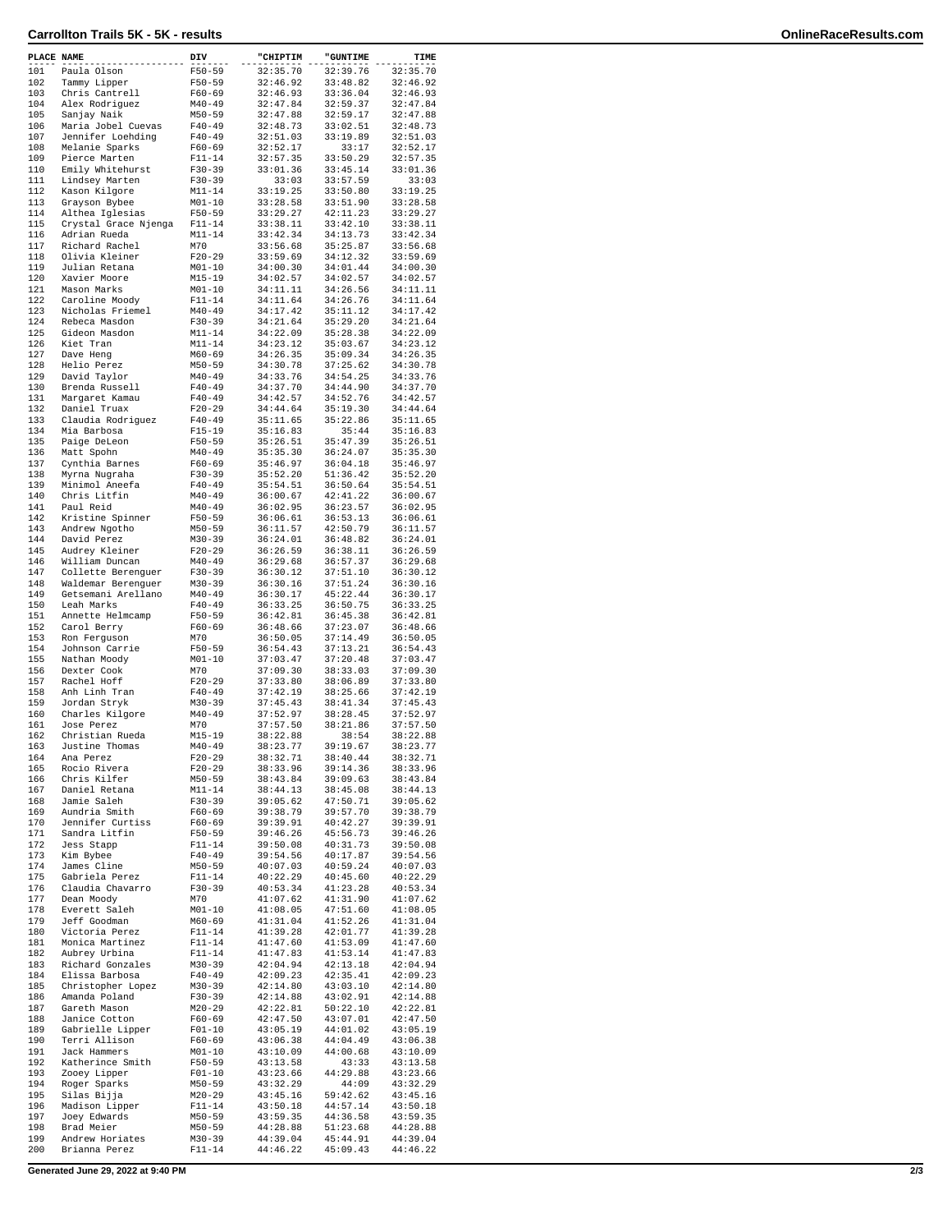## **Carrollton Trails 5K - 5K - results OnlineRaceResults.com**

| PLACE NAME |                                   | DIV                      | "CHIPTIM             | "GUNTIME             | TIME                 |
|------------|-----------------------------------|--------------------------|----------------------|----------------------|----------------------|
| 101        | Paula Olson                       | $F50 - 59$               | 32:35.70             | 32:39.76             | 32:35.70             |
| 102        | Tammy Lipper                      | $F50 - 59$               | 32:46.92             | 33:48.82             | 32:46.92             |
| 103        | Chris Cantrell                    | $F60 - 69$               | 32:46.93             | 33:36.04             | 32:46.93             |
| 104        | Alex Rodriquez                    | $M40 - 49$               | 32:47.84             | 32:59.37             | 32:47.84             |
| 105<br>106 | Sanjay Naik<br>Maria Jobel Cuevas | $M50 - 59$<br>$F40 - 49$ | 32:47.88<br>32:48.73 | 32:59.17<br>33:02.51 | 32:47.88<br>32:48.73 |
| 107        | Jennifer Loehding                 | $F40 - 49$               | 32:51.03             | 33:19.89             | 32:51.03             |
| 108        | Melanie Sparks                    | $F60 - 69$               | 32:52.17             | 33:17                | 32:52.17             |
| 109        | Pierce Marten                     | $F11 - 14$               | 32:57.35             | 33:50.29             | 32:57.35             |
| 110        | Emily Whitehurst                  | F30-39                   | 33:01.36             | 33:45.14             | 33:01.36             |
| 111        | Lindsey Marten                    | $F30-39$                 | 33:03                | 33:57.59             | 33:03                |
| 112<br>113 | Kason Kilgore                     | $M11 - 14$               | 33:19.25<br>33:28.58 | 33:50.80             | 33:19.25<br>33:28.58 |
| 114        | Grayson Bybee<br>Althea Iglesias  | $M01 - 10$<br>F50-59     | 33:29.27             | 33:51.90<br>42:11.23 | 33:29.27             |
| 115        | Crystal Grace Njenga              | $F11 - 14$               | 33:38.11             | 33:42.10             | 33:38.11             |
| 116        | Adrian Rueda                      | $M11 - 14$               | 33:42.34             | 34:13.73             | 33:42.34             |
| 117        | Richard Rachel                    | M70                      | 33:56.68             | 35:25.87             | 33:56.68             |
| 118        | Olivia Kleiner                    | $F20-29$                 | 33:59.69             | 34:12.32             | 33:59.69             |
| 119        | Julian Retana                     | $M01 - 10$               | 34:00.30             | 34:01.44             | 34:00.30             |
| 120<br>121 | Xavier Moore<br>Mason Marks       | $M15 - 19$<br>$M01 - 10$ | 34:02.57<br>34:11.11 | 34:02.57<br>34:26.56 | 34:02.57<br>34:11.11 |
| 122        | Caroline Moody                    | $F11 - 14$               | 34:11.64             | 34:26.76             | 34:11.64             |
| 123        | Nicholas Friemel                  | $M40 - 49$               | 34:17.42             | 35:11.12             | 34:17.42             |
| 124        | Rebeca Masdon                     | F30-39                   | 34:21.64             | 35:29.20             | 34:21.64             |
| 125        | Gideon Masdon                     | $M11 - 14$               | 34:22.09             | 35:28.38             | 34:22.09             |
| 126        | Kiet Tran                         | $M11 - 14$               | 34:23.12             | 35:03.67             | 34:23.12             |
| 127<br>128 | Dave Heng                         | $M60 - 69$               | 34:26.35<br>34:30.78 | 35:09.34<br>37:25.62 | 34:26.35             |
| 129        | Helio Perez<br>David Taylor       | $M50 - 59$<br>$M40 - 49$ | 34:33.76             | 34:54.25             | 34:30.78<br>34:33.76 |
| 130        | Brenda Russell                    | $F40 - 49$               | 34:37.70             | 34:44.90             | 34:37.70             |
| 131        | Margaret Kamau                    | $F40 - 49$               | 34:42.57             | 34:52.76             | 34:42.57             |
| 132        | Daniel Truax                      | $F20-29$                 | 34:44.64             | 35:19.30             | 34:44.64             |
| 133        | Claudia Rodriguez                 | $F40 - 49$               | 35:11.65             | 35:22.86             | 35:11.65             |
| 134        | Mia Barbosa                       | $F15-19$                 | 35:16.83             | 35:44                | 35:16.83             |
| 135<br>136 | Paige DeLeon                      | $F50 - 59$               | 35:26.51             | 35:47.39             | 35:26.51<br>35:35.30 |
| 137        | Matt Spohn<br>Cynthia Barnes      | $M40 - 49$<br>$F60-69$   | 35:35.30<br>35:46.97 | 36:24.07<br>36:04.18 | 35:46.97             |
| 138        | Myrna Nugraha                     | $F30-39$                 | 35:52.20             | 51:36.42             | 35:52.20             |
| 139        | Minimol Aneefa                    | $F40 - 49$               | 35:54.51             | 36:50.64             | 35:54.51             |
| 140        | Chris Litfin                      | $M40 - 49$               | 36:00.67             | 42:41.22             | 36:00.67             |
| 141        | Paul Reid                         | $M40 - 49$               | 36:02.95             | 36:23.57             | 36:02.95             |
| 142        | Kristine Spinner                  | $F50 - 59$               | 36:06.61             | 36:53.13             | 36:06.61             |
| 143        | Andrew Ngotho                     | $M50 - 59$               | 36:11.57             | 42:50.79             | 36:11.57             |
| 144<br>145 | David Perez<br>Audrey Kleiner     | $M30 - 39$<br>$F20-29$   | 36:24.01<br>36:26.59 | 36:48.82<br>36:38.11 | 36:24.01<br>36:26.59 |
| 146        | William Duncan                    | $M40 - 49$               | 36:29.68             | 36:57.37             | 36:29.68             |
| 147        | Collette Berenguer                | $F30-39$                 | 36:30.12             | 37:51.10             | 36:30.12             |
| 148        | Waldemar Berenguer                | $M30 - 39$               | 36:30.16             | 37:51.24             | 36:30.16             |
| 149        | Getsemani Arellano                | $M40 - 49$               | 36:30.17             | 45:22.44             | 36:30.17             |
| 150        | Leah Marks                        | $F40 - 49$               | 36:33.25             | 36:50.75             | 36:33.25             |
| 151<br>152 | Annette Helmcamp                  | F50-59<br>$F60 - 69$     | 36:42.81             | 36:45.38<br>37:23.07 | 36:42.81             |
| 153        | Carol Berry<br>Ron Ferguson       | M70                      | 36:48.66<br>36:50.05 | 37:14.49             | 36:48.66<br>36:50.05 |
| 154        | Johnson Carrie                    | $F50 - 59$               | 36:54.43             | 37:13.21             | 36:54.43             |
| 155        | Nathan Moody                      | $M01 - 10$               | 37:03.47             | 37:20.48             | 37:03.47             |
| 156        | Dexter Cook                       | M70                      | 37:09.30             | 38:33.03             | 37:09.30             |
| 157        | Rachel Hoff                       | $F20-29$                 | 37:33.80             | 38:06.89             | 37:33.80             |
| 158<br>159 | Anh Linh Tran                     | $F40 - 49$               | 37:42.19             | 38:25.66             | 37:42.19             |
| 160        | Jordan Stryk<br>Charles Kilgore   | $M30 - 39$<br>$M40 - 49$ | 37:45.43<br>37:52.97 | 38:41.34<br>38:28.45 | 37:45.43<br>37:52.97 |
| 161        | Jose Perez                        | M70                      | 37:57.50             | 38:21.86             | 37:57.50             |
| 162        | Christian Rueda                   | $M15 - 19$               | 38:22.88             | 38:54                | 38:22.88             |
| 163        | Justine Thomas                    | $M40 - 49$               | 38:23.77             | 39:19.67             | 38:23.77             |
| 164        | Ana Perez                         | $F20-29$                 | 38:32.71             | 38:40.44             | 38:32.71             |
| 165        | Rocio Rivera                      | $F20-29$                 | 38:33.96             | 39:14.36             | 38:33.96             |
| 166<br>167 | Chris Kilfer<br>Daniel Retana     | $M50 - 59$<br>$M11 - 14$ | 38:43.84<br>38:44.13 | 39:09.63<br>38:45.08 | 38:43.84<br>38:44.13 |
| 168        | Jamie Saleh                       | $F30 - 39$               | 39:05.62             | 47:50.71             | 39:05.62             |
| 169        | Aundria Smith                     | $F60 - 69$               | 39:38.79             | 39:57.70             | 39:38.79             |
| 170        | Jennifer Curtiss                  | $F60 - 69$               | 39:39.91             | 40:42.27             | 39:39.91             |
| 171        | Sandra Litfin                     | F50-59                   | 39:46.26             | 45:56.73             | 39:46.26             |
| 172        | Jess Stapp                        | F11-14                   | 39:50.08             | 40:31.73             | 39:50.08             |
| 173<br>174 | Kim Bybee<br>James Cline          | $F40 - 49$<br>$M50 - 59$ | 39:54.56<br>40:07.03 | 40:17.87<br>40:59.24 | 39:54.56<br>40:07.03 |
| 175        | Gabriela Perez                    | $F11 - 14$               | 40:22.29             | 40:45.60             | 40:22.29             |
| 176        | Claudia Chavarro                  | $F30-39$                 | 40:53.34             | 41:23.28             | 40:53.34             |
| 177        | Dean Moody                        | M70                      | 41:07.62             | 41:31.90             | 41:07.62             |
| 178        | Everett Saleh                     | $M01 - 10$               | 41:08.05             | 47:51.60             | 41:08.05             |
| 179        | Jeff Goodman                      | $M60 - 69$               | 41:31.04             | 41:52.26             | 41:31.04             |
| 180        | Victoria Perez                    | $F11 - 14$               | 41:39.28<br>41:47.60 | 42:01.77             | 41:39.28<br>41:47.60 |
| 181<br>182 | Monica Martinez<br>Aubrey Urbina  | $F11 - 14$<br>$F11 - 14$ | 41:47.83             | 41:53.09<br>41:53.14 | 41:47.83             |
| 183        | Richard Gonzales                  | $M30 - 39$               | 42:04.94             | 42:13.18             | 42:04.94             |
| 184        | Elissa Barbosa                    | $F40 - 49$               | 42:09.23             | 42:35.41             | 42:09.23             |
| 185        | Christopher Lopez                 | $M30 - 39$               | 42:14.80             | 43:03.10             | 42:14.80             |
| 186        | Amanda Poland                     | F30-39                   | 42:14.88             | 43:02.91             | 42:14.88             |
| 187        | Gareth Mason                      | $M20-29$                 | 42:22.81             | 50:22.10             | 42:22.81             |
| 188        | Janice Cotton                     | $F60 - 69$               | 42:47.50             | 43:07.01             | 42:47.50             |
| 189<br>190 | Gabrielle Lipper<br>Terri Allison | $F01 - 10$<br>$F60 - 69$ | 43:05.19<br>43:06.38 | 44:01.02<br>44:04.49 | 43:05.19<br>43:06.38 |
| 191        | Jack Hammers                      | $M01 - 10$               | 43:10.09             | 44:00.68             | 43:10.09             |
| 192        | Katherince Smith                  | F50-59                   | 43:13.58             | 43:33                | 43:13.58             |
| 193        | Zooey Lipper                      | $F01 - 10$               | 43:23.66             | 44:29.88             | 43:23.66             |
| 194        | Roger Sparks                      | $M50 - 59$               | 43:32.29             | 44:09                | 43:32.29             |
| 195        | Silas Bijja                       | $M20 - 29$               | 43:45.16             | 59:42.62             | 43:45.16             |
| 196<br>197 | Madison Lipper<br>Joey Edwards    | $F11 - 14$<br>$M50 - 59$ | 43:50.18<br>43:59.35 | 44:57.14<br>44:36.58 | 43:50.18<br>43:59.35 |
| 198        | Brad Meier                        | $M50 - 59$               | 44:28.88             | 51:23.68             | 44:28.88             |
| 199        | Andrew Horiates                   | M30-39                   | 44:39.04             | 45:44.91             | 44:39.04             |
| 200        | Brianna Perez                     | F11-14                   | 44:46.22             | 45:09.43             | 44:46.22             |
|            |                                   |                          |                      |                      |                      |

**Generated June 29, 2022 at 9:40 PM 2/3**